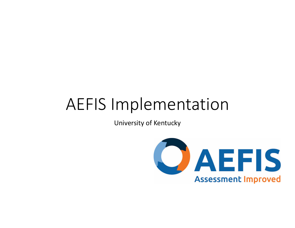## AEFIS Implementation

University of Kentucky

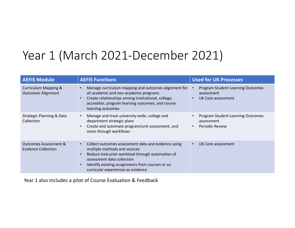## Year 1 (March 2021‐December 2021)

| <b>AEFIS Module</b>                                            | <b>AEFIS Functions</b>                                                                                                                                                                                                                                                        | <b>Used for UK Processes</b>                                                 |
|----------------------------------------------------------------|-------------------------------------------------------------------------------------------------------------------------------------------------------------------------------------------------------------------------------------------------------------------------------|------------------------------------------------------------------------------|
| <b>Curriculum Mapping &amp;</b><br><b>Outcomes Alignment</b>   | Manage curriculum mapping and outcomes alignment for<br>all academic and non-academic programs<br>Create relationships among institutional, college,<br>accreditor, program learning outcomes, and course<br>learning outcomes                                                | Program Student Learning Outcomes<br>assessment<br><b>UK Core assessment</b> |
| <b>Strategic Planning &amp; Data</b><br>Collection             | Manage and track university-wide, college and<br>department strategic plans<br>Create and automate program/unit assessment, and<br>more through workflows                                                                                                                     | <b>Program Student Learning Outcomes</b><br>assessment<br>Periodic Review    |
| <b>Outcomes Assessment &amp;</b><br><b>Evidence Collection</b> | Collect outcomes assessment data and evidence using<br>$\bullet$<br>multiple methods and sources<br>Reduce instructor workload through automation of<br>assessment data collection<br>Identify existing assignments from courses or co-<br>curricular experiences as evidence | UK Core assessment                                                           |

Year 1 also includes <sup>a</sup> pilot of Course Evaluation & Feedback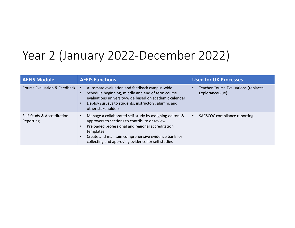## Year 2 (January 2022‐December 2022)

| <b>AEFIS Module</b>                     | <b>AEFIS Functions</b>                                                                                                                                                                                                                                                                  | <b>Used for UK Processes</b>                                   |
|-----------------------------------------|-----------------------------------------------------------------------------------------------------------------------------------------------------------------------------------------------------------------------------------------------------------------------------------------|----------------------------------------------------------------|
| Course Evaluation & Feedback            | Automate evaluation and feedback campus-wide<br>Schedule beginning, middle and end of term course<br>evaluations university-wide based on academic calendar<br>Deploy surveys to students, instructors, alumni, and<br>other stakeholders                                               | <b>Teacher Course Evaluations (replaces</b><br>ExploranceBlue) |
| Self-Study & Accreditation<br>Reporting | Manage a collaborated self-study by assigning editors &<br>approvers to sections to contribute or review<br>Preloaded professional and regional accreditation<br>templates<br>Create and maintain comprehensive evidence bank for<br>collecting and approving evidence for self studies | SACSCOC compliance reporting                                   |